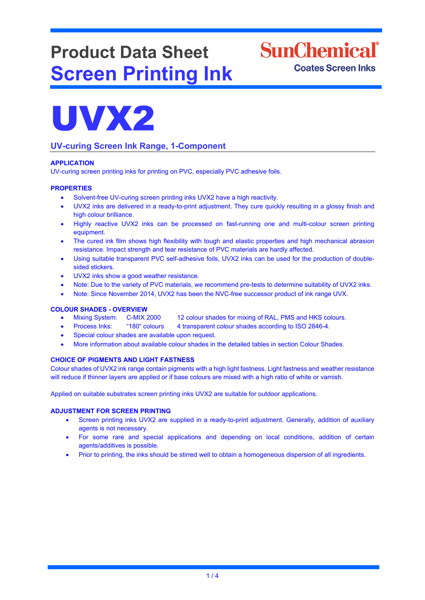# **Product Data Sheet Screen Printing Ink**

**SunChemical**<sup>®</sup> **Coates Screen Inks** 



## **UV-curing Screen Ink Range, 1-Component**

### **APPLICATION**

UV-curing screen printing inks for printing on PVC, especially PVC adhesive foils.

#### **PROPERTIES**

- Solvent-free UV-curing screen printing inks UVX2 have a high reactivity.
- UVX2 inks are delivered in a ready-to-print adjustment. They cure quickly resulting in a glossy finish and high colour brilliance.
- Highly reactive UVX2 inks can be processed on fast-running one and multi-colour screen printing equipment.
- The cured ink film shows high flexibility with tough and elastic properties and high mechanical abrasion resistance. Impact strength and tear resistance of PVC materials are hardly affected.
- Using suitable transparent PVC self-adhesive foils, UVX2 inks can be used for the production of doublesided stickers.
- UVX2 inks show a good weather resistance.
- Note: Due to the variety of PVC materials, we recommend pre-tests to determine suitability of UVX2 inks.
- Note: Since November 2014, UVX2 has been the NVC-free successor product of ink range UVX.

- **COLOUR SHADES - OVERVIEW** 12 colour shades for mixing of RAL, PMS and HKS colours.
	- Process Inks: "180" colours 4 transparent colour shades according to ISO 2846-4.
	- Special colour shades are available upon request.
	- More information about available colour shades in the detailed tables in section Colour Shades.

### **CHOICE OF PIGMENTS AND LIGHT FASTNESS**

Colour shades of UVX2 ink range contain pigments with a high light fastness. Light fastness and weather resistance will reduce if thinner layers are applied or if base colours are mixed with a high ratio of white or varnish.

Applied on suitable substrates screen printing inks UVX2 are suitable for outdoor applications.

#### **ADJUSTMENT FOR SCREEN PRINTING**

- Screen printing inks UVX2 are supplied in a ready-to-print adjustment. Generally, addition of auxiliary agents is not necessary.
- For some rare and special applications and depending on local conditions, addition of certain agents/additives is possible.
- Prior to printing, the inks should be stirred well to obtain a homogeneous dispersion of all ingredients.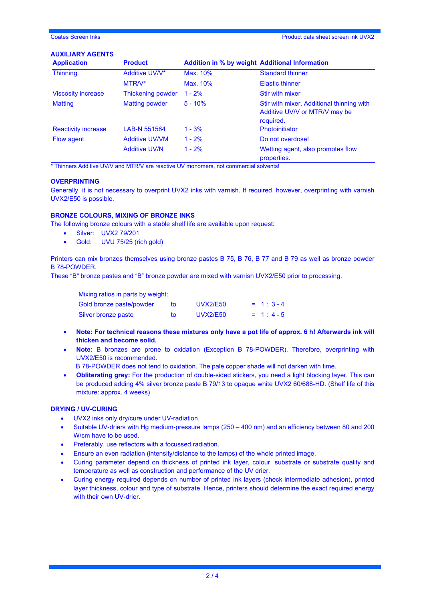#### **AUXILIARY AGENTS**

| <b>Application</b>         | <b>Product</b>        | <b>Addition in % by weight Additional Information</b> |                                                                                         |
|----------------------------|-----------------------|-------------------------------------------------------|-----------------------------------------------------------------------------------------|
| <b>Thinning</b>            | Additive UV/V*        | Max. 10%                                              | <b>Standard thinner</b>                                                                 |
|                            | MTR/V*                | Max. 10%                                              | <b>Elastic thinner</b>                                                                  |
| <b>Viscosity increase</b>  | Thickening powder     | $1 - 2%$                                              | <b>Stir with mixer</b>                                                                  |
| <b>Matting</b>             | <b>Matting powder</b> | $5 - 10%$                                             | Stir with mixer. Additional thinning with<br>Additive UV/V or MTR/V may be<br>required. |
| <b>Reactivity increase</b> | LAB-N 551564          | $1 - 3%$                                              | <b>Photoinitiator</b>                                                                   |
| Flow agent                 | <b>Additive UV/VM</b> | $1 - 2%$                                              | Do not overdose!                                                                        |
|                            | <b>Additive UV/N</b>  | $1 - 2%$                                              | Wetting agent, also promotes flow<br>properties.                                        |
| . <u>. .</u> .<br>.        | . <u>.</u>            |                                                       |                                                                                         |

\* Thinners Additive UV/V and MTR/V are reactive UV monomers, not commercial solvents!

#### **OVERPRINTING**

Generally, it is not necessary to overprint UVX2 inks with varnish. If required, however, overprinting with varnish UVX2/E50 is possible.

#### **BRONZE COLOURS, MIXING OF BRONZE INKS**

The following bronze colours with a stable shelf life are available upon request:

- Silver: UVX2 79/201
- Gold: UVU 75/25 (rich gold)

Printers can mix bronzes themselves using bronze pastes B 75, B 76, B 77 and B 79 as well as bronze powder B 78-POWDER.

These "B" bronze pastes and "B" bronze powder are mixed with varnish UVX2/E50 prior to processing.

| Mixing ratios in parts by weight: |    |                 |            |
|-----------------------------------|----|-----------------|------------|
| Gold bronze paste/powder          | tΩ | <b>UVX2/E50</b> | $= 1: 3-4$ |
| Silver bronze paste               | tΩ | <b>UVX2/E50</b> | $= 1: 4-5$ |

- **Note: For technical reasons these mixtures only have a pot life of approx. 6 h! Afterwards ink will thicken and become solid.**
- **Note:** B bronzes are prone to oxidation (Exception B 78-POWDER). Therefore, overprinting with UVX2/E50 is recommended.

B 78-POWDER does not tend to oxidation. The pale copper shade will not darken with time.

• **Obliterating grey:** For the production of double-sided stickers, you need a light blocking layer. This can be produced adding 4% silver bronze paste B 79/13 to opaque white UVX2 60/688-HD. (Shelf life of this mixture: approx. 4 weeks)

#### **DRYING / UV-CURING**

- UVX2 inks only dry/cure under UV-radiation.
- Suitable UV-driers with Hg medium-pressure lamps (250 400 nm) and an efficiency between 80 and 200 W/cm have to be used.
- Preferably, use reflectors with a focussed radiation.
- Ensure an even radiation (intensity/distance to the lamps) of the whole printed image.
- Curing parameter depend on thickness of printed ink layer, colour, substrate or substrate quality and temperature as well as construction and performance of the UV drier.
- Curing energy required depends on number of printed ink layers (check intermediate adhesion), printed layer thickness, colour and type of substrate. Hence, printers should determine the exact required energy with their own UV-drier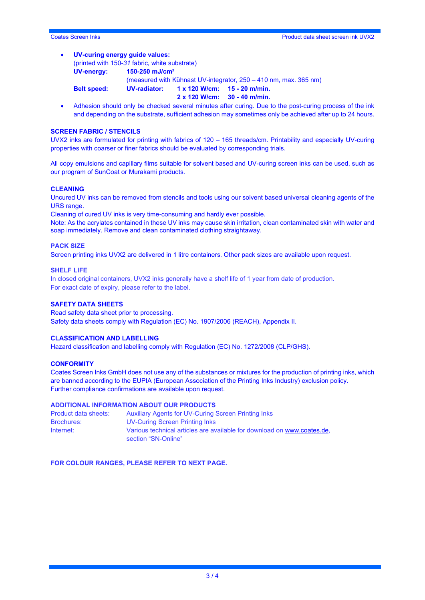#### • **UV-curing energy guide values:**

(printed with 150-*31* fabric*,* white substrate) **UV-energy: 150-250 mJ/cm²** (measured with Kühnast UV-integrator, 250 – 410 nm, max. 365 nm) **Belt speed: UV-radiator: 1 x 120 W/cm: 15 - 20 m/min. 2 x 120 W/cm: 30 - 40 m/min.**

• Adhesion should only be checked several minutes after curing. Due to the post-curing process of the ink and depending on the substrate, sufficient adhesion may sometimes only be achieved after up to 24 hours.

#### **SCREEN FABRIC / STENCILS**

UVX2 inks are formulated for printing with fabrics of 120 – 165 threads/cm. Printability and especially UV-curing properties with coarser or finer fabrics should be evaluated by corresponding trials.

All copy emulsions and capillary films suitable for solvent based and UV-curing screen inks can be used, such as our program of SunCoat or Murakami products.

#### **CLEANING**

Uncured UV inks can be removed from stencils and tools using our solvent based universal cleaning agents of the URS range.

Cleaning of cured UV inks is very time-consuming and hardly ever possible.

Note: As the acrylates contained in these UV inks may cause skin irritation, clean contaminated skin with water and soap immediately. Remove and clean contaminated clothing straightaway.

#### **PACK SIZE**

Screen printing inks UVX2 are delivered in 1 litre containers. Other pack sizes are available upon request.

#### **SHELF LIFE**

In closed original containers, UVX2 inks generally have a shelf life of 1 year from date of production. For exact date of expiry, please refer to the label.

#### **SAFETY DATA SHEETS**

Read safety data sheet prior to processing. Safety data sheets comply with Regulation (EC) No. 1907/2006 (REACH), Appendix II.

#### **CLASSIFICATION AND LABELLING**

Hazard classification and labelling comply with Regulation (EC) No. 1272/2008 (CLP/GHS).

#### **CONFORMITY**

Coates Screen Inks GmbH does not use any of the substances or mixtures for the production of printing inks, which are banned according to the EUPIA (European Association of the Printing Inks Industry) exclusion policy. Further compliance confirmations are available upon request.

#### **ADDITIONAL INFORMATION ABOUT OUR PRODUCTS**

| Product data sheets: | Auxiliary Agents for UV-Curing Screen Printing Inks                     |
|----------------------|-------------------------------------------------------------------------|
| <b>Brochures:</b>    | UV-Curing Screen Printing Inks                                          |
| Internet:            | Various technical articles are available for download on www.coates.de. |
|                      | section "SN-Online"                                                     |

**FOR COLOUR RANGES, PLEASE REFER TO NEXT PAGE.**